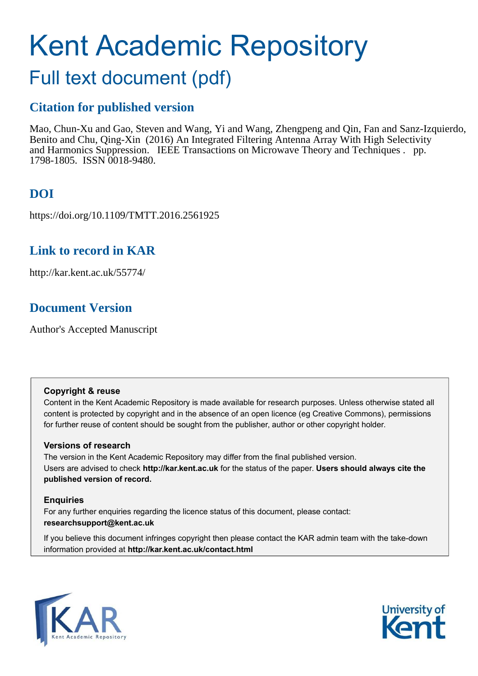# Kent Academic Repository

# Full text document (pdf)

## **Citation for published version**

Mao, Chun-Xu and Gao, Steven and Wang, Yi and Wang, Zhengpeng and Qin, Fan and Sanz-Izquierdo, Benito and Chu, Qing-Xin (2016) An Integrated Filtering Antenna Array With High Selectivity and Harmonics Suppression. IEEE Transactions on Microwave Theory and Techniques . pp. 1798-1805. ISSN 0018-9480.

# **DOI**

https://doi.org/10.1109/TMTT.2016.2561925

## **Link to record in KAR**

http://kar.kent.ac.uk/55774/

## **Document Version**

Author's Accepted Manuscript

#### **Copyright & reuse**

Content in the Kent Academic Repository is made available for research purposes. Unless otherwise stated all content is protected by copyright and in the absence of an open licence (eg Creative Commons), permissions for further reuse of content should be sought from the publisher, author or other copyright holder.

#### **Versions of research**

The version in the Kent Academic Repository may differ from the final published version. Users are advised to check **http://kar.kent.ac.uk** for the status of the paper. **Users should always cite the published version of record.**

#### **Enquiries**

For any further enquiries regarding the licence status of this document, please contact: **researchsupport@kent.ac.uk**

If you believe this document infringes copyright then please contact the KAR admin team with the take-down information provided at **http://kar.kent.ac.uk/contact.html**



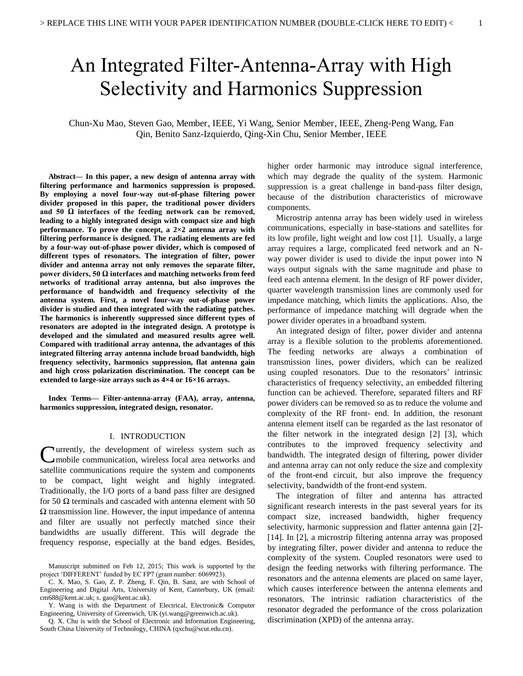# An Integrated Filter-Antenna-Array with High Selectivity and Harmonics Suppression

Chun-Xu Mao, Steven Gao, Member, IEEE, Yi Wang, Senior Member, IEEE, Zheng-Peng Wang, Fan Qin, Benito Sanz-Izquierdo, Qing-Xin Chu, Senior Member, IEEE

**Abstract— In this paper, a new design of antenna array with filtering performance and harmonics suppression is proposed. By employing a novel four-way out-of-phase filtering power divider proposed in this paper, the traditional power dividers and 50 Ω interfaces of the feeding network can be removed, leading to a highly integrated design with compact size and high performance. To prove the concept, a 2×2 antenna array with filtering performance is designed. The radiating elements are fed by a four-way out-of-phase power divider, which is composed of different types of resonators. The integration of filter, power divider and antenna array not only removes the separate filter, power dividers, 50 Ω interfaces and matching networks from feed networks of traditional array antenna, but also improves the performance of bandwidth and frequency selectivity of the antenna system. First, a novel four-way out-of-phase power divider is studied and then integrated with the radiating patches. The harmonics is inherently suppressed since different types of resonators are adopted in the integrated design. A prototype is developed and the simulated and measured results agree well. Compared with traditional array antenna, the advantages of this integrated filtering array antenna include broad bandwidth, high frequency selectivity, harmonics suppression, flat antenna gain and high cross polarization discrimination. The concept can be extended to large-size arrays such as 4×4 or 16×16 arrays.** 

**Index Terms— Filter-antenna-array (FAA), array, antenna, harmonics suppression, integrated design, resonator.** 

#### I. INTRODUCTION

**C**urrently, the development of wireless system such as mobile communication, wireless local area networks and mobile communication, wireless local area networks and satellite communications require the system and components to be compact, light weight and highly integrated. Traditionally, the I/O ports of a band pass filter are designed for 50 Ω terminals and cascaded with antenna element with 50  $\Omega$  transmission line. However, the input impedance of antenna and filter are usually not perfectly matched since their bandwidths are usually different. This will degrade the frequency response, especially at the band edges. Besides,

higher order harmonic may introduce signal interference, which may degrade the quality of the system. Harmonic suppression is a great challenge in band-pass filter design, because of the distribution characteristics of microwave components.

 Microstrip antenna array has been widely used in wireless communications, especially in base-stations and satellites for its low profile, light weight and low cost [1]. Usually, a large array requires a large, complicated feed network and an Nway power divider is used to divide the input power into N ways output signals with the same magnitude and phase to feed each antenna element. In the design of RF power divider, quarter wavelength transmission lines are commonly used for impedance matching, which limits the applications. Also, the performance of impedance matching will degrade when the power divider operates in a broadband system.

An integrated design of filter, power divider and antenna array is a flexible solution to the problems aforementioned. The feeding networks are always a combination of transmission lines, power dividers, which can be realized using coupled resonators. Due to the resonators' intrinsic characteristics of frequency selectivity, an embedded filtering function can be achieved. Therefore, separated filters and RF power dividers can be removed so as to reduce the volume and complexity of the RF front- end. In addition, the resonant antenna element itself can be regarded as the last resonator of the filter network in the integrated design [2] [3], which contributes to the improved frequency selectivity and bandwidth. The integrated design of filtering, power divider and antenna array can not only reduce the size and complexity of the front-end circuit, but also improve the frequency selectivity, bandwidth of the front-end system.

The integration of filter and antenna has attracted significant research interests in the past several years for its compact size, increased bandwidth, higher frequency selectivity, harmonic suppression and flatter antenna gain [2]- [14]. In [2], a microstrip filtering antenna array was proposed by integrating filter, power divider and antenna to reduce the complexity of the system. Coupled resonators were used to design the feeding networks with filtering performance. The resonators and the antenna elements are placed on same layer, which causes interference between the antenna elements and resonators. The intrinsic radiation characteristics of the resonator degraded the performance of the cross polarization discrimination (XPD) of the antenna array.

Manuscript submitted on Feb 12, 2015; This work is supported by the project 'DIFFERENT' funded by EC FP7 (grant number: 6069923).

C. X. Mao, S. Gao, Z. P. Zheng, F. Qin, B. Sanz, are with School of Engineering and Digital Arts, University of Kent, Canterbury, UK (email: cm688@kent.ac.uk; s. gao@kent.ac.uk).

Y. Wang is with the Department of Electrical, Electronic& Computer Engineering, University of Greenwich, UK (yi.wang@greenwich.ac.uk).

Q. X. Chu is with the School of Electronic and Information Engineering, South China University of Technology, CHINA (qxchu@scut.edu.cn).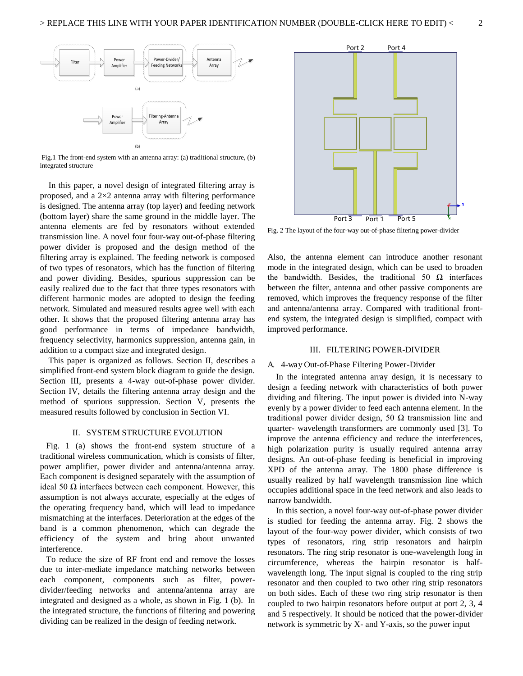

 Fig.1 The front-end system with an antenna array: (a) traditional structure, (b) integrated structure

 In this paper, a novel design of integrated filtering array is proposed, and a 2×2 antenna array with filtering performance is designed. The antenna array (top layer) and feeding network (bottom layer) share the same ground in the middle layer. The antenna elements are fed by resonators without extended transmission line. A novel four four-way out-of-phase filtering power divider is proposed and the design method of the filtering array is explained. The feeding network is composed of two types of resonators, which has the function of filtering and power dividing. Besides, spurious suppression can be easily realized due to the fact that three types resonators with different harmonic modes are adopted to design the feeding network. Simulated and measured results agree well with each other. It shows that the proposed filtering antenna array has good performance in terms of impedance bandwidth, frequency selectivity, harmonics suppression, antenna gain, in addition to a compact size and integrated design.

This paper is organized as follows. Section II, describes a simplified front-end system block diagram to guide the design. Section III, presents a 4-way out-of-phase power divider. Section IV, details the filtering antenna array design and the method of spurious suppression. Section V, presents the measured results followed by conclusion in Section VI.

#### II. SYSTEM STRUCTURE EVOLUTION

Fig. 1 (a) shows the front-end system structure of a traditional wireless communication, which is consists of filter, power amplifier, power divider and antenna/antenna array. Each component is designed separately with the assumption of ideal 50  $\Omega$  interfaces between each component. However, this assumption is not always accurate, especially at the edges of the operating frequency band, which will lead to impedance mismatching at the interfaces. Deterioration at the edges of the band is a common phenomenon, which can degrade the efficiency of the system and bring about unwanted interference.

To reduce the size of RF front end and remove the losses due to inter-mediate impedance matching networks between each component, components such as filter, powerdivider/feeding networks and antenna/antenna array are integrated and designed as a whole, as shown in Fig. 1 (b). In the integrated structure, the functions of filtering and powering dividing can be realized in the design of feeding network.



Fig. 2 The layout of the four-way out-of-phase filtering power-divider

Also, the antenna element can introduce another resonant mode in the integrated design, which can be used to broaden the bandwidth. Besides, the traditional 50  $\Omega$  interfaces between the filter, antenna and other passive components are removed, which improves the frequency response of the filter and antenna/antenna array. Compared with traditional frontend system, the integrated design is simplified, compact with improved performance.

#### III. FILTERING POWER-DIVIDER

#### A. 4-way Out-of-Phase Filtering Power-Divider

 In the integrated antenna array design, it is necessary to design a feeding network with characteristics of both power dividing and filtering. The input power is divided into N-way evenly by a power divider to feed each antenna element. In the traditional power divider design, 50  $\Omega$  transmission line and quarter- wavelength transformers are commonly used [3]. To improve the antenna efficiency and reduce the interferences, high polarization purity is usually required antenna array designs. An out-of-phase feeding is beneficial in improving XPD of the antenna array. The 1800 phase difference is usually realized by half wavelength transmission line which occupies additional space in the feed network and also leads to narrow bandwidth.

In this section, a novel four-way out-of-phase power divider is studied for feeding the antenna array. Fig. 2 shows the layout of the four-way power divider, which consists of two types of resonators, ring strip resonators and hairpin resonators. The ring strip resonator is one-wavelength long in circumference, whereas the hairpin resonator is halfwavelength long. The input signal is coupled to the ring strip resonator and then coupled to two other ring strip resonators on both sides. Each of these two ring strip resonator is then coupled to two hairpin resonators before output at port 2, 3, 4 and 5 respectively. It should be noticed that the power-divider network is symmetric by X- and Y-axis, so the power input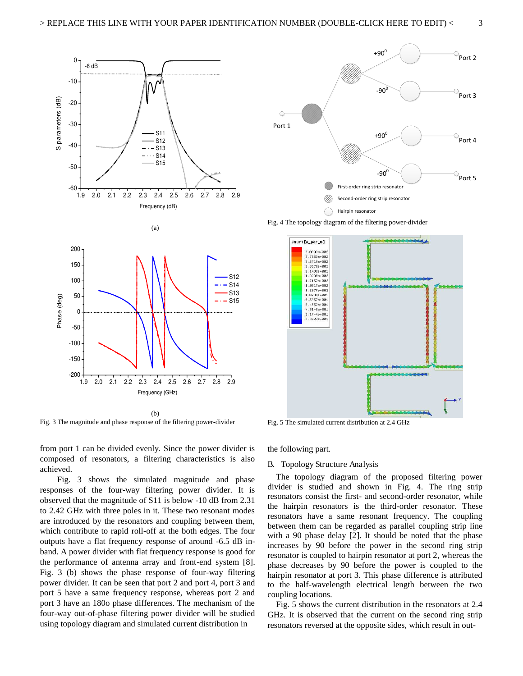

(b) Fig. 3 The magnitude and phase response of the filtering power-divider

from port 1 can be divided evenly. Since the power divider is composed of resonators, a filtering characteristics is also achieved.

 Fig. 3 shows the simulated magnitude and phase responses of the four-way filtering power divider. It is observed that the magnitude of S11 is below -10 dB from 2.31 to 2.42 GHz with three poles in it. These two resonant modes are introduced by the resonators and coupling between them, which contribute to rapid roll-off at the both edges. The four outputs have a flat frequency response of around -6.5 dB inband. A power divider with flat frequency response is good for the performance of antenna array and front-end system [8]. Fig. 3 (b) shows the phase response of four-way filtering power divider. It can be seen that port 2 and port 4, port 3 and port 5 have a same frequency response, whereas port 2 and port 3 have an 180o phase differences. The mechanism of the four-way out-of-phase filtering power divider will be studied using topology diagram and simulated current distribution in



Fig. 4 The topology diagram of the filtering power-divider



Fig. 5 The simulated current distribution at 2.4 GHz

the following part.

#### B. Topology Structure Analysis

 The topology diagram of the proposed filtering power divider is studied and shown in Fig. 4. The ring strip resonators consist the first- and second-order resonator, while the hairpin resonators is the third-order resonator. These resonators have a same resonant frequency. The coupling between them can be regarded as parallel coupling strip line with a 90 phase delay [2]. It should be noted that the phase increases by 90 before the power in the second ring strip resonator is coupled to hairpin resonator at port 2, whereas the phase decreases by 90 before the power is coupled to the hairpin resonator at port 3. This phase difference is attributed to the half-wavelength electrical length between the two coupling locations.

 Fig. 5 shows the current distribution in the resonators at 2.4 GHz. It is observed that the current on the second ring strip resonators reversed at the opposite sides, which result in out-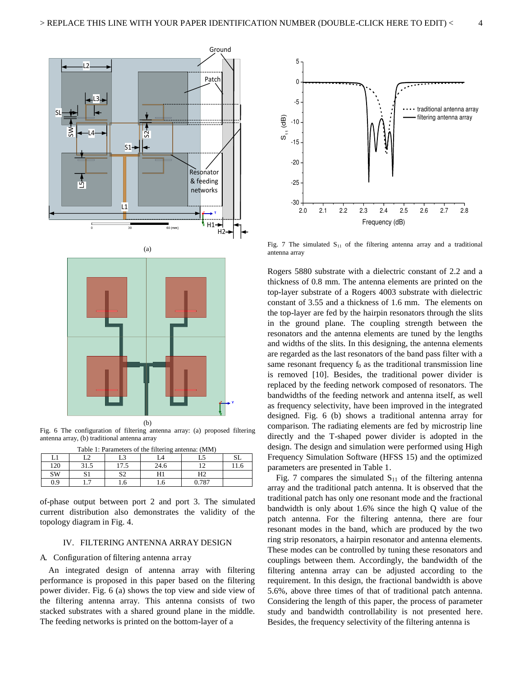

Fig. 6 The configuration of filtering antenna array: (a) proposed filtering antenna array, (b) traditional antenna array

| Table 1: Parameters of the filtering antenna: (MM) |     |      |      |       |  |
|----------------------------------------------------|-----|------|------|-------|--|
|                                                    | ר ז |      |      |       |  |
| 120                                                |     | 17.5 | 24.6 |       |  |
| <b>SW</b>                                          |     | ຕາ   |      | Η2    |  |
| 09                                                 |     |      |      | 0.787 |  |

of-phase output between port 2 and port 3. The simulated current distribution also demonstrates the validity of the topology diagram in Fig. 4.

#### IV. FILTERING ANTENNA ARRAY DESIGN

#### A. Configuration of filtering antenna array

An integrated design of antenna array with filtering performance is proposed in this paper based on the filtering power divider. Fig. 6 (a) shows the top view and side view of the filtering antenna array. This antenna consists of two stacked substrates with a shared ground plane in the middle. The feeding networks is printed on the bottom-layer of a



Fig. 7 The simulated  $S_{11}$  of the filtering antenna array and a traditional antenna array

Rogers 5880 substrate with a dielectric constant of 2.2 and a thickness of 0.8 mm. The antenna elements are printed on the top-layer substrate of a Rogers 4003 substrate with dielectric constant of 3.55 and a thickness of 1.6 mm. The elements on the top-layer are fed by the hairpin resonators through the slits in the ground plane. The coupling strength between the resonators and the antenna elements are tuned by the lengths and widths of the slits. In this designing, the antenna elements are regarded as the last resonators of the band pass filter with a same resonant frequency  $f_0$  as the traditional transmission line is removed [10]. Besides, the traditional power divider is replaced by the feeding network composed of resonators. The bandwidths of the feeding network and antenna itself, as well as frequency selectivity, have been improved in the integrated designed. Fig. 6 (b) shows a traditional antenna array for comparison. The radiating elements are fed by microstrip line directly and the T-shaped power divider is adopted in the design. The design and simulation were performed using High Frequency Simulation Software (HFSS 15) and the optimized parameters are presented in Table 1.

Fig. 7 compares the simulated  $S<sub>11</sub>$  of the filtering antenna array and the traditional patch antenna. It is observed that the traditional patch has only one resonant mode and the fractional bandwidth is only about 1.6% since the high Q value of the patch antenna. For the filtering antenna, there are four resonant modes in the band, which are produced by the two ring strip resonators, a hairpin resonator and antenna elements. These modes can be controlled by tuning these resonators and couplings between them. Accordingly, the bandwidth of the filtering antenna array can be adjusted according to the requirement. In this design, the fractional bandwidth is above 5.6%, above three times of that of traditional patch antenna. Considering the length of this paper, the process of parameter study and bandwidth controllability is not presented here. Besides, the frequency selectivity of the filtering antenna is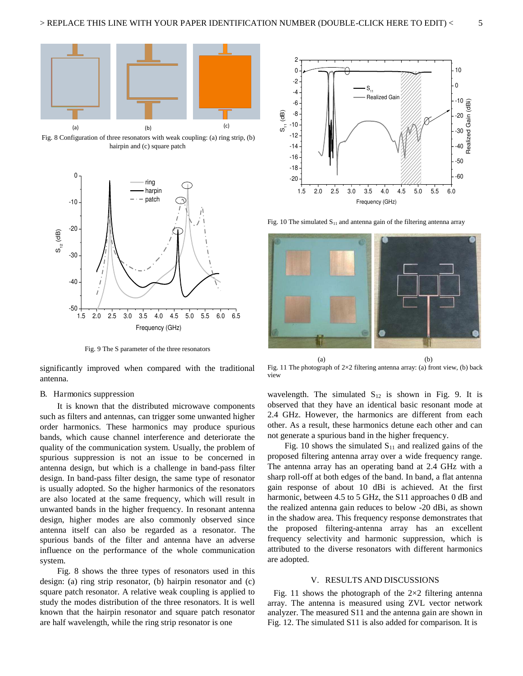

 Fig. 8 Configuration of three resonators with weak coupling: (a) ring strip, (b) hairpin and (c) square patch



Fig. 9 The S parameter of the three resonators

significantly improved when compared with the traditional antenna.

#### B. Harmonics suppression

 It is known that the distributed microwave components such as filters and antennas, can trigger some unwanted higher order harmonics. These harmonics may produce spurious bands, which cause channel interference and deteriorate the quality of the communication system. Usually, the problem of spurious suppression is not an issue to be concerned in antenna design, but which is a challenge in band-pass filter design. In band-pass filter design, the same type of resonator is usually adopted. So the higher harmonics of the resonators are also located at the same frequency, which will result in unwanted bands in the higher frequency. In resonant antenna design, higher modes are also commonly observed since antenna itself can also be regarded as a resonator. The spurious bands of the filter and antenna have an adverse influence on the performance of the whole communication system.

 Fig. 8 shows the three types of resonators used in this design: (a) ring strip resonator, (b) hairpin resonator and (c) square patch resonator. A relative weak coupling is applied to study the modes distribution of the three resonators. It is well known that the hairpin resonator and square patch resonator are half wavelength, while the ring strip resonator is one



Fig. 10 The simulated  $S_{11}$  and antenna gain of the filtering antenna array



Fig. 11 The photograph of  $2\times 2$  filtering antenna array: (a) front view, (b) back view

wavelength. The simulated S12 is shown in Fig. 9. It is observed that they have an identical basic resonant mode at 2.4 GHz. However, the harmonics are different from each other. As a result, these harmonics detune each other and can not generate a spurious band in the higher frequency.

Fig. 10 shows the simulated  $S_{11}$  and realized gains of the proposed filtering antenna array over a wide frequency range. The antenna array has an operating band at 2.4 GHz with a sharp roll-off at both edges of the band. In band, a flat antenna gain response of about 10 dBi is achieved. At the first harmonic, between 4.5 to 5 GHz, the S11 approaches 0 dB and the realized antenna gain reduces to below -20 dBi, as shown in the shadow area. This frequency response demonstrates that the proposed filtering-antenna array has an excellent frequency selectivity and harmonic suppression, which is attributed to the diverse resonators with different harmonics are adopted.

#### V. RESULTS AND DISCUSSIONS

Fig. 11 shows the photograph of the  $2\times 2$  filtering antenna array. The antenna is measured using ZVL vector network analyzer. The measured S11 and the antenna gain are shown in Fig. 12. The simulated S11 is also added for comparison. It is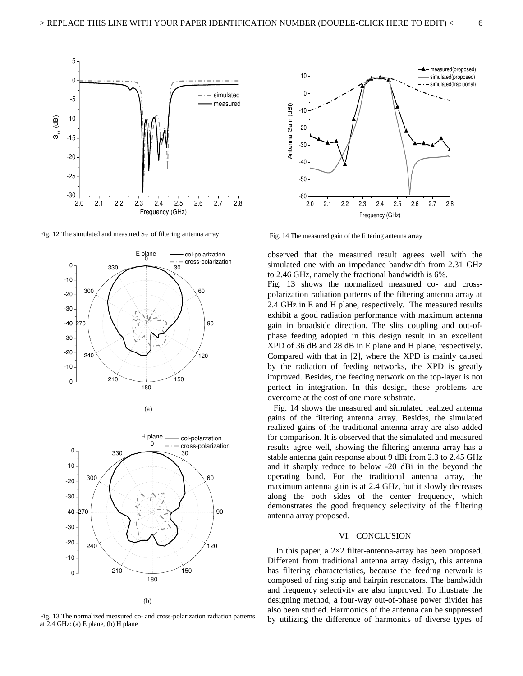

Fig. 12 The simulated and measured  $S<sub>11</sub>$  of filtering antenna array





Fig. 13 The normalized measured co- and cross-polarization radiation patterns at 2.4 GHz: (a) E plane, (b) H plane



Fig. 14 The measured gain of the filtering antenna array

observed that the measured result agrees well with the simulated one with an impedance bandwidth from 2.31 GHz to 2.46 GHz, namely the fractional bandwidth is 6%.

Fig. 13 shows the normalized measured co- and crosspolarization radiation patterns of the filtering antenna array at 2.4 GHz in E and H plane, respectively. The measured results exhibit a good radiation performance with maximum antenna gain in broadside direction. The slits coupling and out-ofphase feeding adopted in this design result in an excellent XPD of 36 dB and 28 dB in E plane and H plane, respectively. Compared with that in [2], where the XPD is mainly caused by the radiation of feeding networks, the XPD is greatly improved. Besides, the feeding network on the top-layer is not perfect in integration. In this design, these problems are overcome at the cost of one more substrate.

Fig. 14 shows the measured and simulated realized antenna gains of the filtering antenna array. Besides, the simulated realized gains of the traditional antenna array are also added for comparison. It is observed that the simulated and measured results agree well, showing the filtering antenna array has a stable antenna gain response about 9 dBi from 2.3 to 2.45 GHz and it sharply reduce to below -20 dBi in the beyond the operating band. For the traditional antenna array, the maximum antenna gain is at 2.4 GHz, but it slowly decreases along the both sides of the center frequency, which demonstrates the good frequency selectivity of the filtering antenna array proposed.

#### VI. CONCLUSION

In this paper, a  $2\times 2$  filter-antenna-array has been proposed. Different from traditional antenna array design, this antenna has filtering characteristics, because the feeding network is composed of ring strip and hairpin resonators. The bandwidth and frequency selectivity are also improved. To illustrate the designing method, a four-way out-of-phase power divider has also been studied. Harmonics of the antenna can be suppressed by utilizing the difference of harmonics of diverse types of